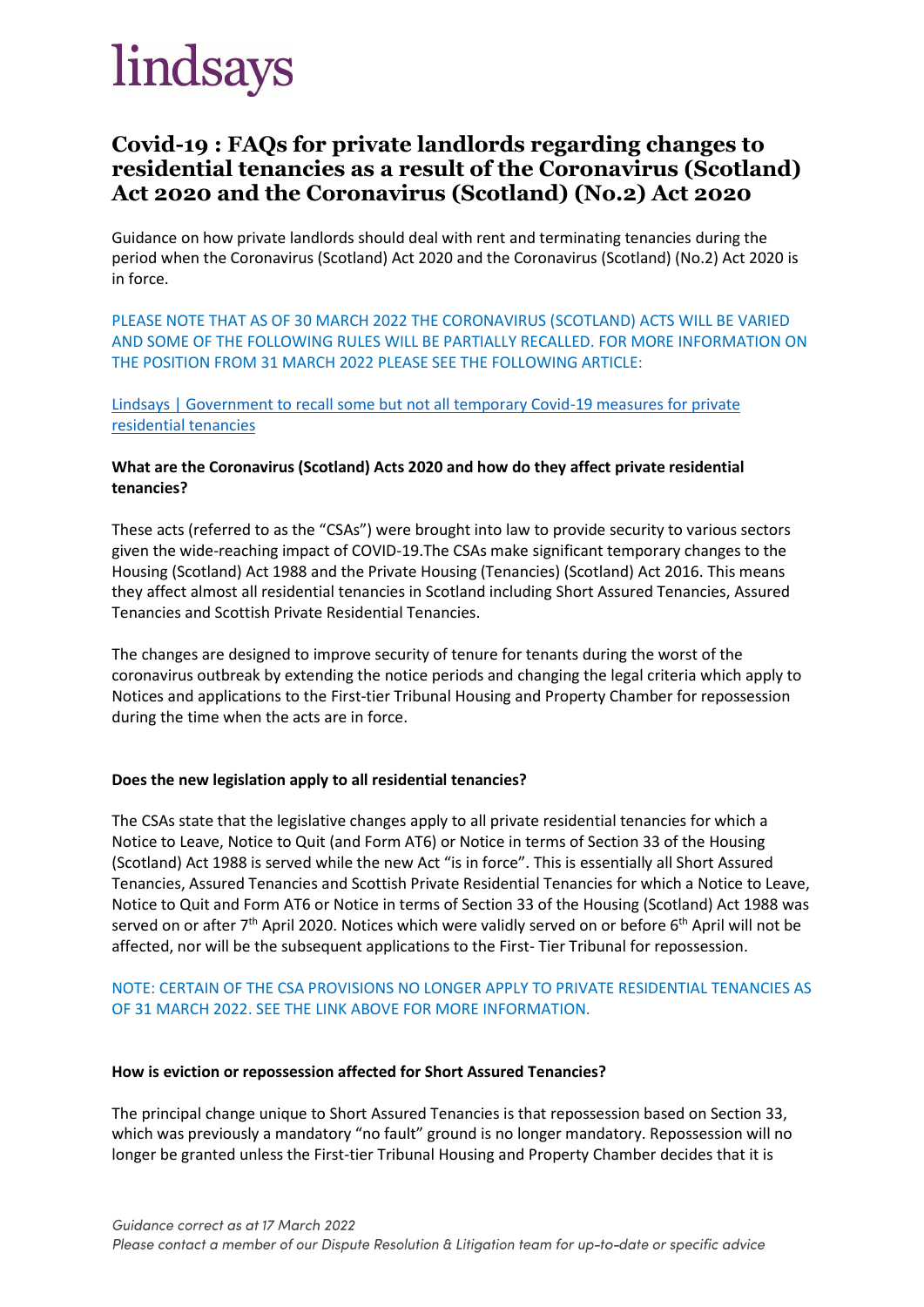### **Covid-19 : FAQs for private landlords regarding changes to residential tenancies as a result of the Coronavirus (Scotland) Act 2020 and the Coronavirus (Scotland) (No.2) Act 2020**

Guidance on how private landlords should deal with rent and terminating tenancies during the period when the Coronavirus (Scotland) Act 2020 and the Coronavirus (Scotland) (No.2) Act 2020 is in force.

PLEASE NOTE THAT AS OF 30 MARCH 2022 THE CORONAVIRUS (SCOTLAND) ACTS WILL BE VARIED AND SOME OF THE FOLLOWING RULES WILL BE PARTIALLY RECALLED. FOR MORE INFORMATION ON THE POSITION FROM 31 MARCH 2022 PLEASE SEE THE FOLLOWING ARTICLE:

[Lindsays | Government to recall some but not all temporary Covid-19 measures for private](https://www.lindsays.co.uk/news-and-insights/news/drl-new-covid-legislation-for-prs)  [residential tenancies](https://www.lindsays.co.uk/news-and-insights/news/drl-new-covid-legislation-for-prs)

#### **What are the Coronavirus (Scotland) Acts 2020 and how do they affect private residential tenancies?**

These acts (referred to as the "CSAs") were brought into law to provide security to various sectors given the wide-reaching impact of COVID-19.The CSAs make significant temporary changes to the Housing (Scotland) Act 1988 and the Private Housing (Tenancies) (Scotland) Act 2016. This means they affect almost all residential tenancies in Scotland including Short Assured Tenancies, Assured Tenancies and Scottish Private Residential Tenancies.

The changes are designed to improve security of tenure for tenants during the worst of the coronavirus outbreak by extending the notice periods and changing the legal criteria which apply to Notices and applications to the First-tier Tribunal Housing and Property Chamber for repossession during the time when the acts are in force.

#### **Does the new legislation apply to all residential tenancies?**

The CSAs state that the legislative changes apply to all private residential tenancies for which a Notice to Leave, Notice to Quit (and Form AT6) or Notice in terms of Section 33 of the Housing (Scotland) Act 1988 is served while the new Act "is in force". This is essentially all Short Assured Tenancies, Assured Tenancies and Scottish Private Residential Tenancies for which a Notice to Leave, Notice to Quit and Form AT6 or Notice in terms of Section 33 of the Housing (Scotland) Act 1988 was served on or after 7<sup>th</sup> April 2020. Notices which were validly served on or before 6<sup>th</sup> April will not be affected, nor will be the subsequent applications to the First- Tier Tribunal for repossession.

#### NOTE: CERTAIN OF THE CSA PROVISIONS NO LONGER APPLY TO PRIVATE RESIDENTIAL TENANCIES AS OF 31 MARCH 2022. SEE THE LINK ABOVE FOR MORE INFORMATION.

#### **How is eviction or repossession affected for Short Assured Tenancies?**

The principal change unique to Short Assured Tenancies is that repossession based on Section 33, which was previously a mandatory "no fault" ground is no longer mandatory. Repossession will no longer be granted unless the First-tier Tribunal Housing and Property Chamber decides that it is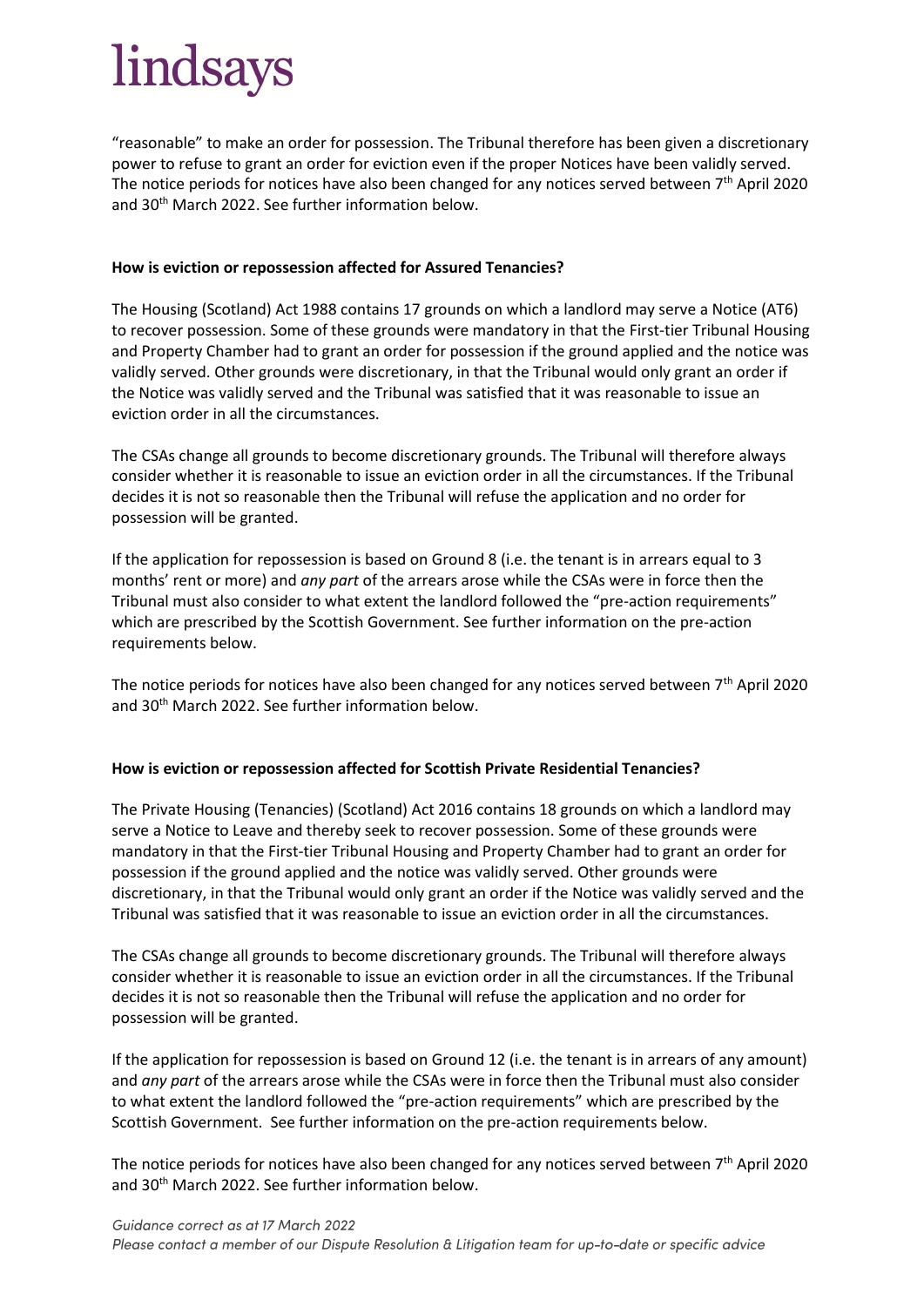"reasonable" to make an order for possession. The Tribunal therefore has been given a discretionary power to refuse to grant an order for eviction even if the proper Notices have been validly served. The notice periods for notices have also been changed for any notices served between  $7<sup>th</sup>$  April 2020 and 30th March 2022. See further information below.

#### **How is eviction or repossession affected for Assured Tenancies?**

The Housing (Scotland) Act 1988 contains 17 grounds on which a landlord may serve a Notice (AT6) to recover possession. Some of these grounds were mandatory in that the First-tier Tribunal Housing and Property Chamber had to grant an order for possession if the ground applied and the notice was validly served. Other grounds were discretionary, in that the Tribunal would only grant an order if the Notice was validly served and the Tribunal was satisfied that it was reasonable to issue an eviction order in all the circumstances.

The CSAs change all grounds to become discretionary grounds. The Tribunal will therefore always consider whether it is reasonable to issue an eviction order in all the circumstances. If the Tribunal decides it is not so reasonable then the Tribunal will refuse the application and no order for possession will be granted.

If the application for repossession is based on Ground 8 (i.e. the tenant is in arrears equal to 3 months' rent or more) and *any part* of the arrears arose while the CSAs were in force then the Tribunal must also consider to what extent the landlord followed the "pre-action requirements" which are prescribed by the Scottish Government. See further information on the pre-action requirements below.

The notice periods for notices have also been changed for any notices served between 7<sup>th</sup> April 2020 and 30<sup>th</sup> March 2022. See further information below.

#### **How is eviction or repossession affected for Scottish Private Residential Tenancies?**

The Private Housing (Tenancies) (Scotland) Act 2016 contains 18 grounds on which a landlord may serve a Notice to Leave and thereby seek to recover possession. Some of these grounds were mandatory in that the First-tier Tribunal Housing and Property Chamber had to grant an order for possession if the ground applied and the notice was validly served. Other grounds were discretionary, in that the Tribunal would only grant an order if the Notice was validly served and the Tribunal was satisfied that it was reasonable to issue an eviction order in all the circumstances.

The CSAs change all grounds to become discretionary grounds. The Tribunal will therefore always consider whether it is reasonable to issue an eviction order in all the circumstances. If the Tribunal decides it is not so reasonable then the Tribunal will refuse the application and no order for possession will be granted.

If the application for repossession is based on Ground 12 (i.e. the tenant is in arrears of any amount) and *any part* of the arrears arose while the CSAs were in force then the Tribunal must also consider to what extent the landlord followed the "pre-action requirements" which are prescribed by the Scottish Government. See further information on the pre-action requirements below.

The notice periods for notices have also been changed for any notices served between 7<sup>th</sup> April 2020 and 30th March 2022. See further information below.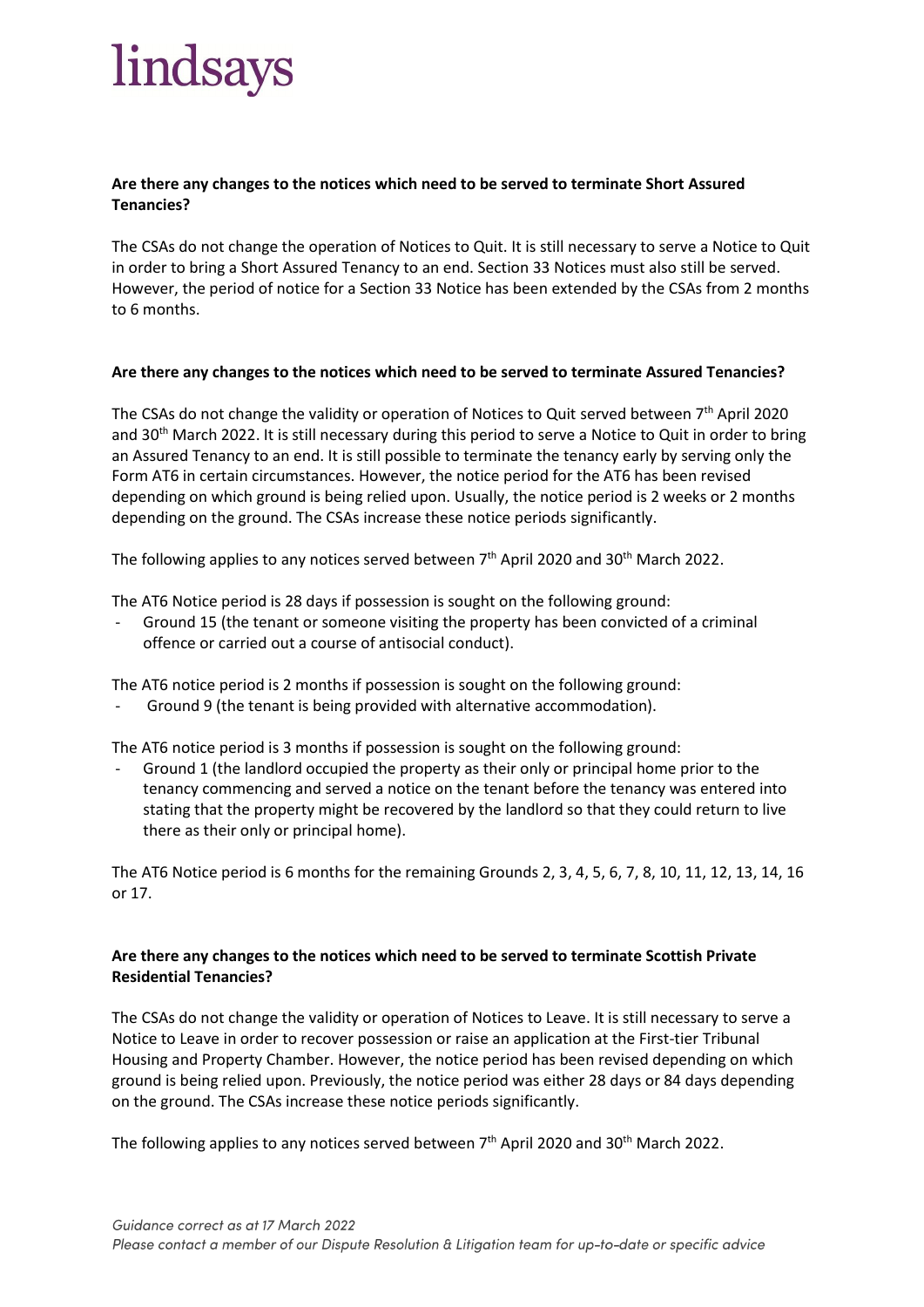#### **Are there any changes to the notices which need to be served to terminate Short Assured Tenancies?**

The CSAs do not change the operation of Notices to Quit. It is still necessary to serve a Notice to Quit in order to bring a Short Assured Tenancy to an end. Section 33 Notices must also still be served. However, the period of notice for a Section 33 Notice has been extended by the CSAs from 2 months to 6 months.

#### **Are there any changes to the notices which need to be served to terminate Assured Tenancies?**

The CSAs do not change the validity or operation of Notices to Quit served between  $7<sup>th</sup>$  April 2020 and 30th March 2022. It is still necessary during this period to serve a Notice to Quit in order to bring an Assured Tenancy to an end. It is still possible to terminate the tenancy early by serving only the Form AT6 in certain circumstances. However, the notice period for the AT6 has been revised depending on which ground is being relied upon. Usually, the notice period is 2 weeks or 2 months depending on the ground. The CSAs increase these notice periods significantly.

The following applies to any notices served between 7<sup>th</sup> April 2020 and 30<sup>th</sup> March 2022.

The AT6 Notice period is 28 days if possession is sought on the following ground:

- Ground 15 (the tenant or someone visiting the property has been convicted of a criminal offence or carried out a course of antisocial conduct).

The AT6 notice period is 2 months if possession is sought on the following ground:

Ground 9 (the tenant is being provided with alternative accommodation).

The AT6 notice period is 3 months if possession is sought on the following ground:

Ground 1 (the landlord occupied the property as their only or principal home prior to the tenancy commencing and served a notice on the tenant before the tenancy was entered into stating that the property might be recovered by the landlord so that they could return to live there as their only or principal home).

The AT6 Notice period is 6 months for the remaining Grounds 2, 3, 4, 5, 6, 7, 8, 10, 11, 12, 13, 14, 16 or 17.

#### **Are there any changes to the notices which need to be served to terminate Scottish Private Residential Tenancies?**

The CSAs do not change the validity or operation of Notices to Leave. It is still necessary to serve a Notice to Leave in order to recover possession or raise an application at the First-tier Tribunal Housing and Property Chamber. However, the notice period has been revised depending on which ground is being relied upon. Previously, the notice period was either 28 days or 84 days depending on the ground. The CSAs increase these notice periods significantly.

The following applies to any notices served between 7<sup>th</sup> April 2020 and 30<sup>th</sup> March 2022.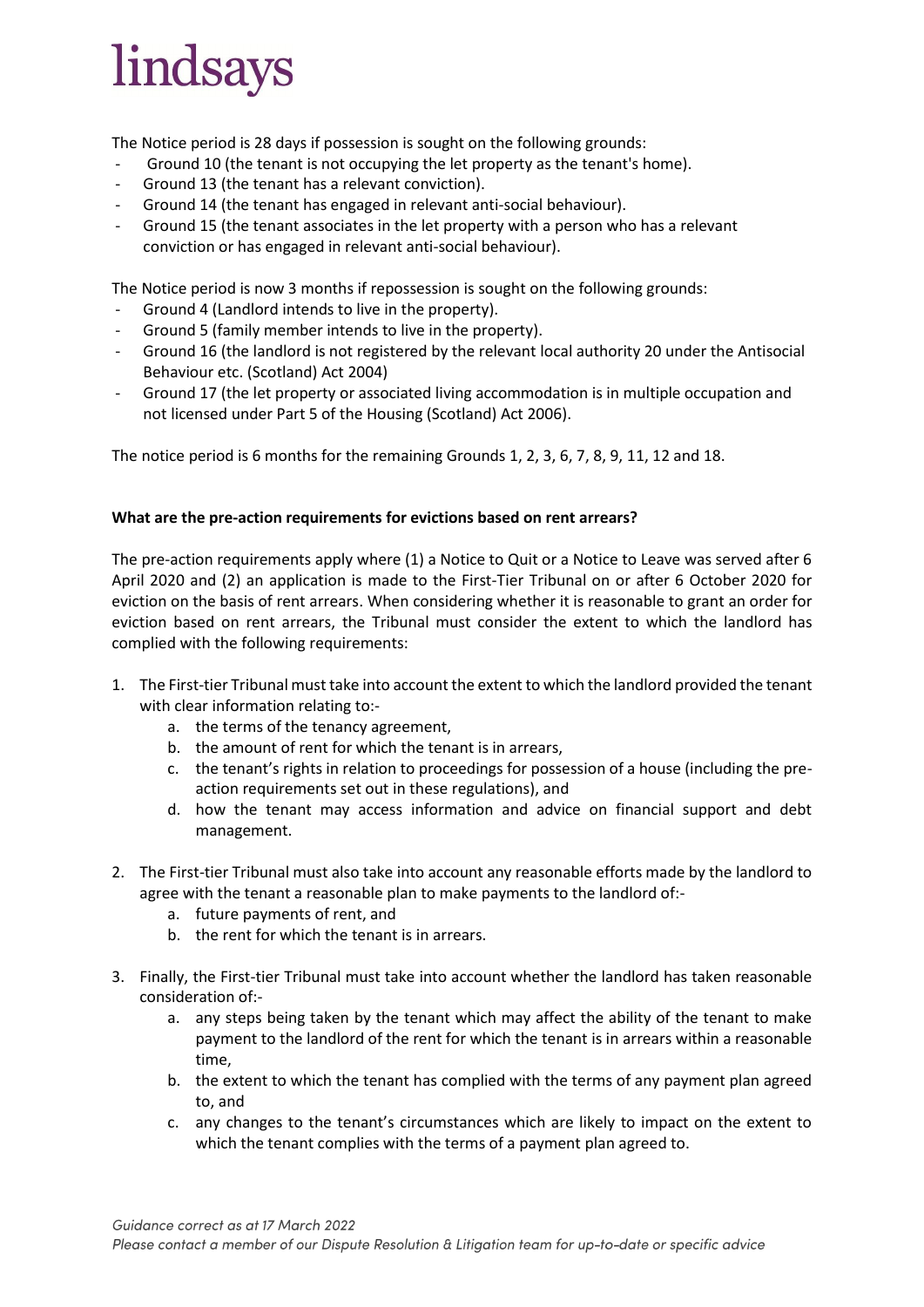The Notice period is 28 days if possession is sought on the following grounds:

- Ground 10 (the tenant is not occupying the let property as the tenant's home).
- Ground 13 (the tenant has a relevant conviction).
- Ground 14 (the tenant has engaged in relevant anti-social behaviour).
- Ground 15 (the tenant associates in the let property with a person who has a relevant conviction or has engaged in relevant anti-social behaviour).

The Notice period is now 3 months if repossession is sought on the following grounds:

- Ground 4 (Landlord intends to live in the property).
- Ground 5 (family member intends to live in the property).
- Ground 16 (the landlord is not registered by the relevant local authority 20 under the Antisocial Behaviour etc. (Scotland) Act 2004)
- Ground 17 (the let property or associated living accommodation is in multiple occupation and not licensed under Part 5 of the Housing (Scotland) Act 2006).

The notice period is 6 months for the remaining Grounds 1, 2, 3, 6, 7, 8, 9, 11, 12 and 18.

#### **What are the pre-action requirements for evictions based on rent arrears?**

The pre-action requirements apply where (1) a Notice to Quit or a Notice to Leave was served after 6 April 2020 and (2) an application is made to the First-Tier Tribunal on or after 6 October 2020 for eviction on the basis of rent arrears. When considering whether it is reasonable to grant an order for eviction based on rent arrears, the Tribunal must consider the extent to which the landlord has complied with the following requirements:

- 1. The First-tier Tribunal must take into account the extent to which the landlord provided the tenant with clear information relating to:
	- a. the terms of the tenancy agreement,
	- b. the amount of rent for which the tenant is in arrears,
	- c. the tenant's rights in relation to proceedings for possession of a house (including the preaction requirements set out in these regulations), and
	- d. how the tenant may access information and advice on financial support and debt management.
- 2. The First-tier Tribunal must also take into account any reasonable efforts made by the landlord to agree with the tenant a reasonable plan to make payments to the landlord of:
	- a. future payments of rent, and
	- b. the rent for which the tenant is in arrears.
- 3. Finally, the First-tier Tribunal must take into account whether the landlord has taken reasonable consideration of:
	- a. any steps being taken by the tenant which may affect the ability of the tenant to make payment to the landlord of the rent for which the tenant is in arrears within a reasonable time,
	- b. the extent to which the tenant has complied with the terms of any payment plan agreed to, and
	- c. any changes to the tenant's circumstances which are likely to impact on the extent to which the tenant complies with the terms of a payment plan agreed to.